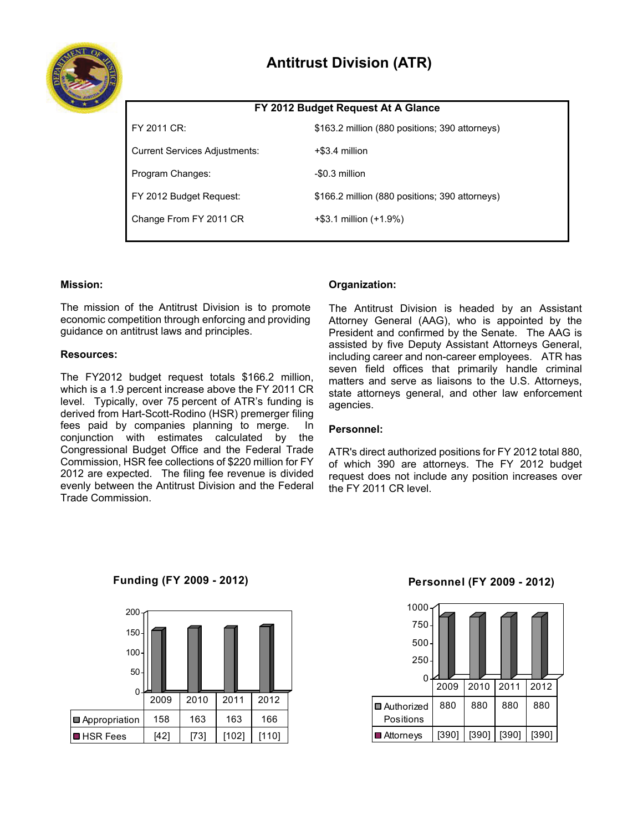

# **FY 2012 Budget Request At A Glance**

| FY 2011 CR:                          | \$163.2 million (880 positions; 390 attorneys) |
|--------------------------------------|------------------------------------------------|
| <b>Current Services Adjustments:</b> | +\$3.4 million                                 |
| Program Changes:                     | -\$0.3 million                                 |
| FY 2012 Budget Request:              | \$166.2 million (880 positions; 390 attorneys) |
| Change From FY 2011 CR               | $+$ \$3.1 million (+1.9%)                      |
|                                      |                                                |

## **Mission:**

The mission of the Antitrust Division is to promote economic competition through enforcing and providing guidance on antitrust laws and principles.

## **Resources:**

The FY2012 budget request totals \$166.2 million, which is a 1.9 percent increase above the FY 2011 CR level. Typically, over 75 percent of ATR's funding is derived from Hart-Scott-Rodino (HSR) premerger filing fees paid by companies planning to merge. In conjunction with estimates calculated by the Congressional Budget Office and the Federal Trade Commission, HSR fee collections of \$220 million for FY 2012 are expected. The filing fee revenue is divided evenly between the Antitrust Division and the Federal Trade Commission.

# **Organization:**

The Antitrust Division is headed by an Assistant Attorney General (AAG), who is appointed by the President and confirmed by the Senate. The AAG is assisted by five Deputy Assistant Attorneys General, including career and non-career employees. ATR has seven field offices that primarily handle criminal matters and serve as liaisons to the U.S. Attorneys, state attorneys general, and other law enforcement agencies.

## **Personnel:**

ATR's direct authorized positions for FY 2012 total 880, of which 390 are attorneys. The FY 2012 budget request does not include any position increases over the FY 2011 CR level.

**Funding (FY 2009 - 2012)**



# **Personnel (FY 2009 - 2012)**

| 1000         |       |       |       |       |  |
|--------------|-------|-------|-------|-------|--|
| 750          |       |       |       |       |  |
| 500          |       |       |       |       |  |
| 250          |       |       |       |       |  |
| 0            |       |       |       |       |  |
|              | 2009  | 2010  | 2011  | 2012  |  |
| ■ Authorized | 880   | 880   | 880   | 880   |  |
| Positions    |       |       |       |       |  |
| ■ Attorneys  | [390] | [390] | [390] | [390] |  |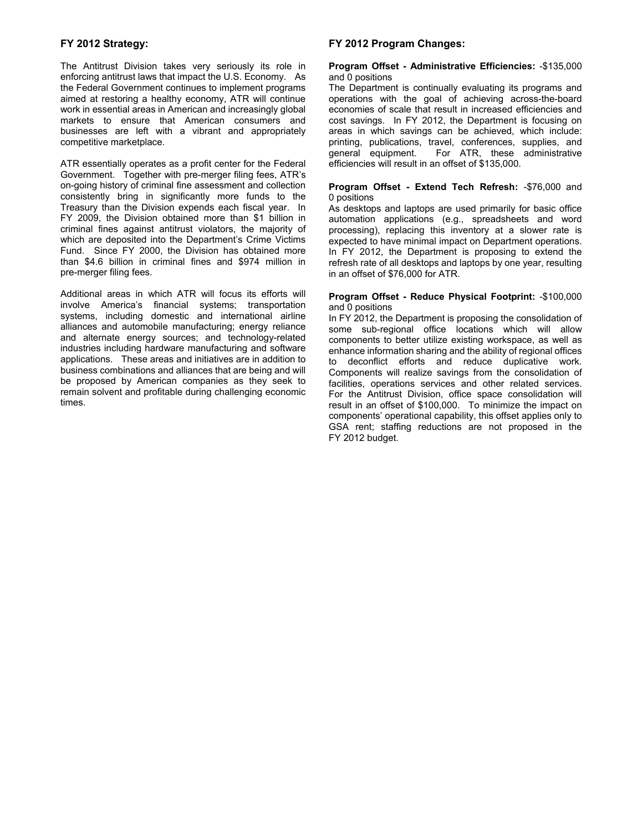## **FY 2012 Strategy:**

The Antitrust Division takes very seriously its role in enforcing antitrust laws that impact the U.S. Economy. As the Federal Government continues to implement programs aimed at restoring a healthy economy, ATR will continue work in essential areas in American and increasingly global markets to ensure that American consumers and businesses are left with a vibrant and appropriately competitive marketplace.

ATR essentially operates as a profit center for the Federal Government. Together with pre-merger filing fees, ATR's on-going history of criminal fine assessment and collection consistently bring in significantly more funds to the Treasury than the Division expends each fiscal year. In FY 2009, the Division obtained more than \$1 billion in criminal fines against antitrust violators, the majority of which are deposited into the Department's Crime Victims Fund. Since FY 2000, the Division has obtained more than \$4.6 billion in criminal fines and \$974 million in pre-merger filing fees.

Additional areas in which ATR will focus its efforts will involve America's financial systems; transportation systems, including domestic and international airline alliances and automobile manufacturing; energy reliance and alternate energy sources; and technology-related industries including hardware manufacturing and software applications. These areas and initiatives are in addition to business combinations and alliances that are being and will be proposed by American companies as they seek to remain solvent and profitable during challenging economic times.

#### **FY 2012 Program Changes:**

#### **Program Offset - Administrative Efficiencies:** -\$135,000 and 0 positions

The Department is continually evaluating its programs and operations with the goal of achieving across-the-board economies of scale that result in increased efficiencies and cost savings. In FY 2012, the Department is focusing on areas in which savings can be achieved, which include: printing, publications, travel, conferences, supplies, and general equipment. For ATR, these administrative For ATR, these administrative efficiencies will result in an offset of \$135,000.

#### **Program Offset - Extend Tech Refresh:** -\$76,000 and 0 positions

As desktops and laptops are used primarily for basic office automation applications (e.g., spreadsheets and word processing), replacing this inventory at a slower rate is expected to have minimal impact on Department operations. In FY 2012, the Department is proposing to extend the refresh rate of all desktops and laptops by one year, resulting in an offset of \$76,000 for ATR.

#### **Program Offset - Reduce Physical Footprint:** -\$100,000 and 0 positions

In FY 2012, the Department is proposing the consolidation of some sub-regional office locations which will allow components to better utilize existing workspace, as well as enhance information sharing and the ability of regional offices to deconflict efforts and reduce duplicative work. Components will realize savings from the consolidation of facilities, operations services and other related services. For the Antitrust Division, office space consolidation will result in an offset of \$100,000. To minimize the impact on components' operational capability, this offset applies only to GSA rent; staffing reductions are not proposed in the FY 2012 budget.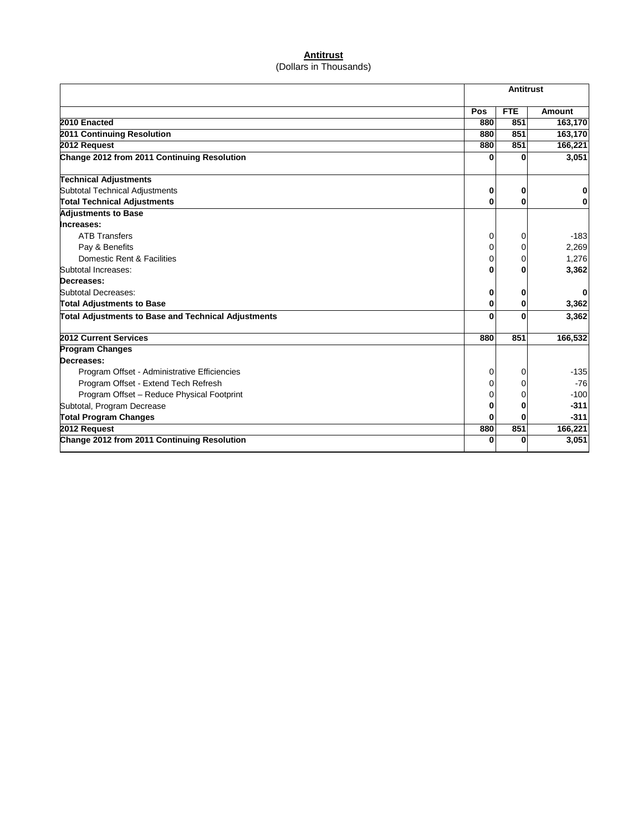# **Antitrust** (Dollars in Thousands)

|                                                            |     | <b>Antitrust</b> |               |  |
|------------------------------------------------------------|-----|------------------|---------------|--|
|                                                            | Pos | <b>FTE</b>       | <b>Amount</b> |  |
| 2010 Enacted                                               | 880 | 851              | 163,170       |  |
| 2011 Continuing Resolution                                 | 880 | 851              | 163,170       |  |
| 2012 Request                                               | 880 | 851              | 166,221       |  |
| Change 2012 from 2011 Continuing Resolution                |     | ŋ                | 3.051         |  |
| <b>Technical Adjustments</b>                               |     |                  |               |  |
| Subtotal Technical Adjustments                             | 0   | 0                |               |  |
| <b>Total Technical Adjustments</b>                         | 0   | 0                |               |  |
| <b>Adjustments to Base</b>                                 |     |                  |               |  |
| Increases:                                                 |     |                  |               |  |
| <b>ATB Transfers</b>                                       | 0   | 0                | $-183$        |  |
| Pay & Benefits                                             | 0   |                  | 2,269         |  |
| Domestic Rent & Facilities                                 | 0   |                  | 1,276         |  |
| Subtotal Increases:                                        | Λ   |                  | 3,362         |  |
| Decreases:                                                 |     |                  |               |  |
| Subtotal Decreases:                                        | 0   | 0                |               |  |
| <b>Total Adjustments to Base</b>                           | ŋ   | 0                | 3,362         |  |
| <b>Total Adjustments to Base and Technical Adjustments</b> | ŋ   |                  | 3,362         |  |
| 2012 Current Services                                      | 880 | 851              | 166,532       |  |
| <b>Program Changes</b>                                     |     |                  |               |  |
| Decreases:                                                 |     |                  |               |  |
| Program Offset - Administrative Efficiencies               | 0   | 0                | $-135$        |  |
| Program Offset - Extend Tech Refresh                       | 0   |                  | $-76$         |  |
| Program Offset - Reduce Physical Footprint                 | Ω   |                  | $-100$        |  |
| Subtotal, Program Decrease                                 | 0   | O                | $-311$        |  |
| <b>Total Program Changes</b>                               |     |                  | $-311$        |  |
| 2012 Request                                               | 880 | 851              | 166,221       |  |
| Change 2012 from 2011 Continuing Resolution                | 0   | $\Omega$         | 3,051         |  |